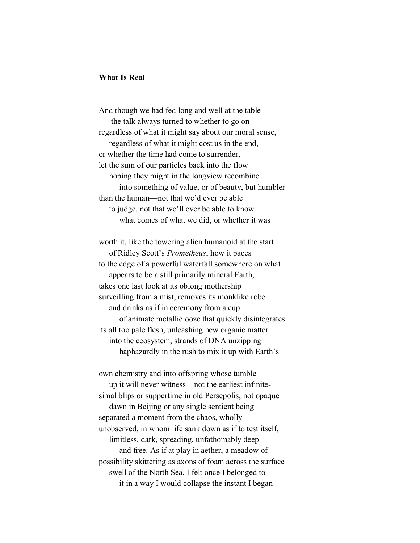## **What Is Real**

And though we had fed long and well at the table the talk always turned to whether to go on regardless of what it might say about our moral sense, regardless of what it might cost us in the end, or whether the time had come to surrender, let the sum of our particles back into the flow hoping they might in the longview recombine into something of value, or of beauty, but humbler than the human—not that we'd ever be able to judge, not that we'll ever be able to know what comes of what we did, or whether it was

worth it, like the towering alien humanoid at the start of Ridley Scott's *Prometheus*, how it paces to the edge of a powerful waterfall somewhere on what appears to be a still primarily mineral Earth, takes one last look at its oblong mothership surveilling from a mist, removes its monklike robe and drinks as if in ceremony from a cup of animate metallic ooze that quickly disintegrates its all too pale flesh, unleashing new organic matter into the ecosystem, strands of DNA unzipping haphazardly in the rush to mix it up with Earth's

own chemistry and into offspring whose tumble up it will never witness—not the earliest infinitesimal blips or suppertime in old Persepolis, not opaque dawn in Beijing or any single sentient being separated a moment from the chaos, wholly unobserved, in whom life sank down as if to test itself, limitless, dark, spreading, unfathomably deep and free. As if at play in aether, a meadow of possibility skittering as axons of foam across the surface swell of the North Sea. I felt once I belonged to it in a way I would collapse the instant I began